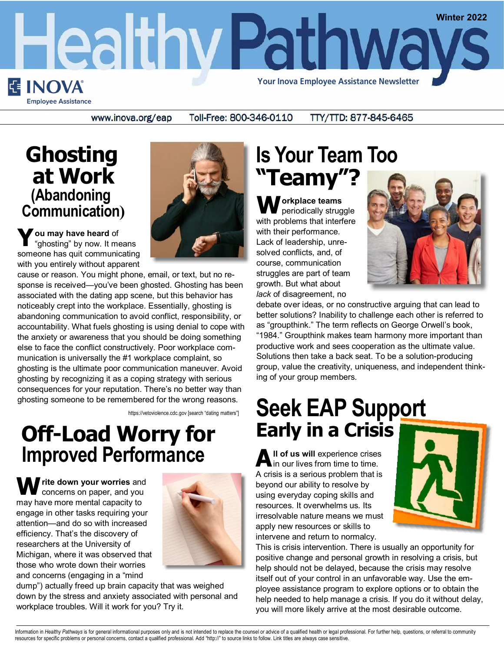

www.inova.org/eap

#### **Ghosting at Work (Abandoning Communication)**

**Y ou may have heard** of "ghosting" by now. It means someone has quit communicating with you entirely without apparent

cause or reason. You might phone, email, or text, but no response is received—you've been ghosted. Ghosting has been associated with the dating app scene, but this behavior has noticeably crept into the workplace. Essentially, ghosting is abandoning communication to avoid conflict, responsibility, or accountability. What fuels ghosting is using denial to cope with the anxiety or awareness that you should be doing something else to face the conflict constructively. Poor workplace communication is universally the #1 workplace complaint, so ghosting is the ultimate poor communication maneuver. Avoid ghosting by recognizing it as a coping strategy with serious consequences for your reputation. There's no better way than ghosting someone to be remembered for the wrong reasons.

https://vetoviolence.cdc.gov [search "dating matters"]

#### **Off-Load Worry for Improved Performance**

**W** rite down your worries and concerns on paper, and you may have more mental capacity to engage in other tasks requiring your attention—and do so with increased efficiency. That's the discovery of researchers at the University of Michigan, where it was observed that those who wrote down their worries and concerns (engaging in a "mind



dump") actually freed up brain capacity that was weighed down by the stress and anxiety associated with personal and workplace troubles. Will it work for you? Try it.

## **Is Your Team Too "Teamy"?**

**W orkplace teams**  periodically struggle with problems that interfere with their performance. Lack of leadership, unresolved conflicts, and, of course, communication struggles are part of team growth. But what about *lack* of disagreement, no



debate over ideas, or no constructive arguing that can lead to better solutions? Inability to challenge each other is referred to as "groupthink." The term reflects on George Orwell's book, "1984." Groupthink makes team harmony more important than productive work and sees cooperation as the ultimate value. Solutions then take a back seat. To be a solution-producing group, value the creativity, uniqueness, and independent thinking of your group members.

# **Seek EAP Support Early in a Crisis**

All of us will experience crises<br>in our lives from time to time. A crisis is a serious problem that is beyond our ability to resolve by using everyday coping skills and resources. It overwhelms us. Its irresolvable nature means we must apply new resources or skills to intervene and return to normalcy.



This is crisis intervention. There is usually an opportunity for positive change and personal growth in resolving a crisis, but help should not be delayed, because the crisis may resolve itself out of your control in an unfavorable way. Use the employee assistance program to explore options or to obtain the help needed to help manage a crisis. If you do it without delay, you will more likely arrive at the most desirable outcome.

Information in Healthy Pathways is for general informational purposes only and is not intended to replace the counsel or advice of a qualified health or legal professional. For further help, questions, or referral to commu resources for specific problems or personal concerns, contact a qualified professional. Add "http://" to source links to follow. Link titles are always case sensitive.